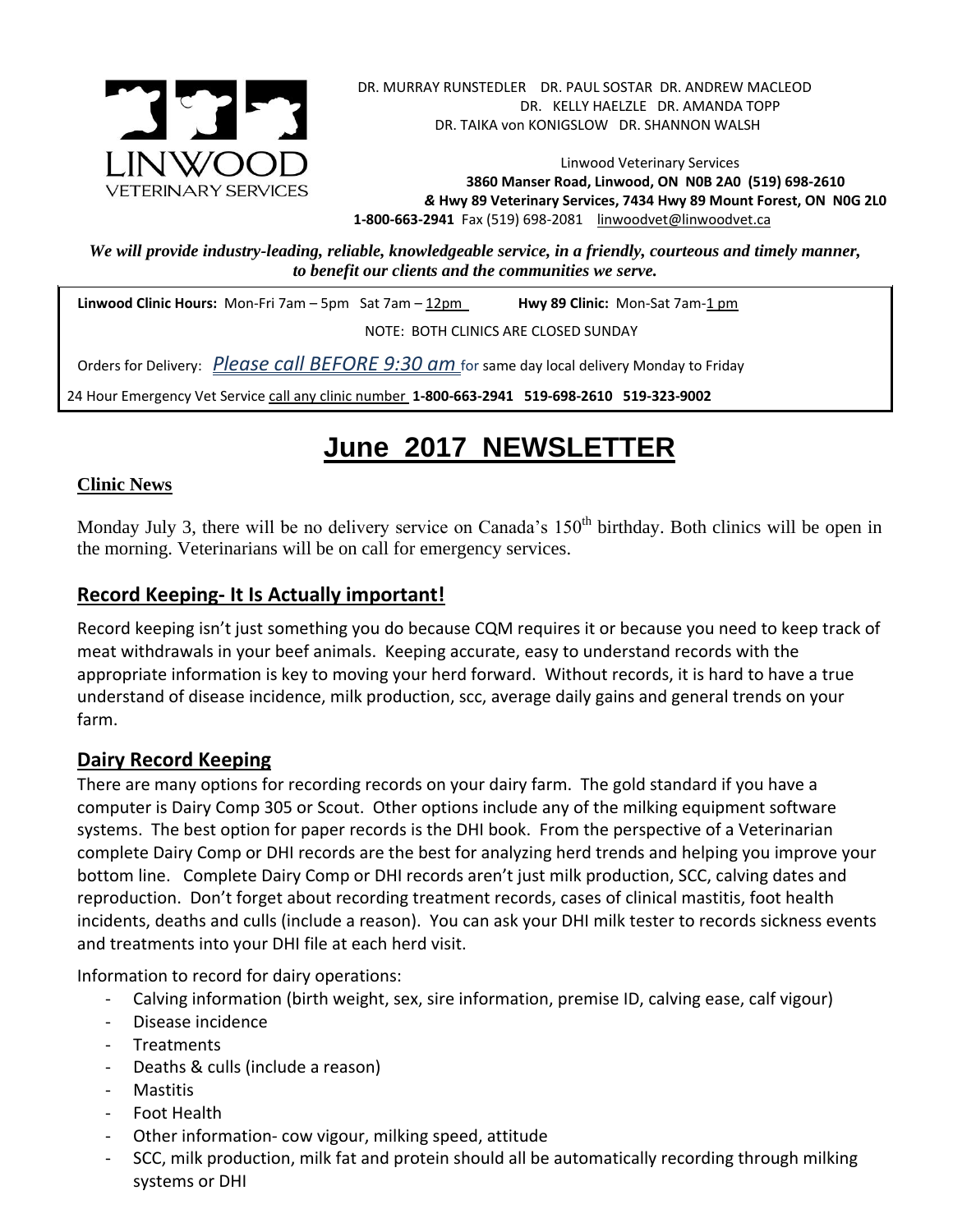

Linwood Veterinary Services **3860 Manser Road, Linwood, ON N0B 2A0 (519) 698-2610** *&* **Hwy 89 Veterinary Services, 7434 Hwy 89 Mount Forest, ON N0G 2L0 1-800-663-2941** Fax (519) 698-2081[linwoodvet@linwoodvet.ca](mailto:linwoodvet@linwoodvet.ca)

*We will provide industry-leading, reliable, knowledgeable service, in a friendly, courteous and timely manner, to benefit our clients and the communities we serve.*

**Linwood Clinic Hours:** Mon-Fri 7am – 5pm Sat 7am – 12pm **Hwy 89 Clinic:** Mon-Sat 7am-1 pm

NOTE: BOTH CLINICS ARE CLOSED SUNDAY

Orders for Delivery: *Please call BEFORE 9:30 am* for same day local delivery Monday to Friday

24 Hour Emergency Vet Service call any clinic number **1-800-663-2941 519-698-2610 519-323-9002**

# **June 2017 NEWSLETTER**

#### **Clinic News**

Monday July 3, there will be no delivery service on Canada's 150<sup>th</sup> birthday. Both clinics will be open in the morning. Veterinarians will be on call for emergency services.

### **Record Keeping- It Is Actually important!**

Record keeping isn't just something you do because CQM requires it or because you need to keep track of meat withdrawals in your beef animals. Keeping accurate, easy to understand records with the appropriate information is key to moving your herd forward. Without records, it is hard to have a true understand of disease incidence, milk production, scc, average daily gains and general trends on your farm.

### **Dairy Record Keeping**

There are many options for recording records on your dairy farm. The gold standard if you have a computer is Dairy Comp 305 or Scout. Other options include any of the milking equipment software systems. The best option for paper records is the DHI book. From the perspective of a Veterinarian complete Dairy Comp or DHI records are the best for analyzing herd trends and helping you improve your bottom line. Complete Dairy Comp or DHI records aren't just milk production, SCC, calving dates and reproduction. Don't forget about recording treatment records, cases of clinical mastitis, foot health incidents, deaths and culls (include a reason). You can ask your DHI milk tester to records sickness events and treatments into your DHI file at each herd visit.

Information to record for dairy operations:

- Calving information (birth weight, sex, sire information, premise ID, calving ease, calf vigour)
- Disease incidence
- Treatments
- Deaths & culls (include a reason)
- **Mastitis**
- Foot Health
- Other information- cow vigour, milking speed, attitude
- SCC, milk production, milk fat and protein should all be automatically recording through milking systems or DHI